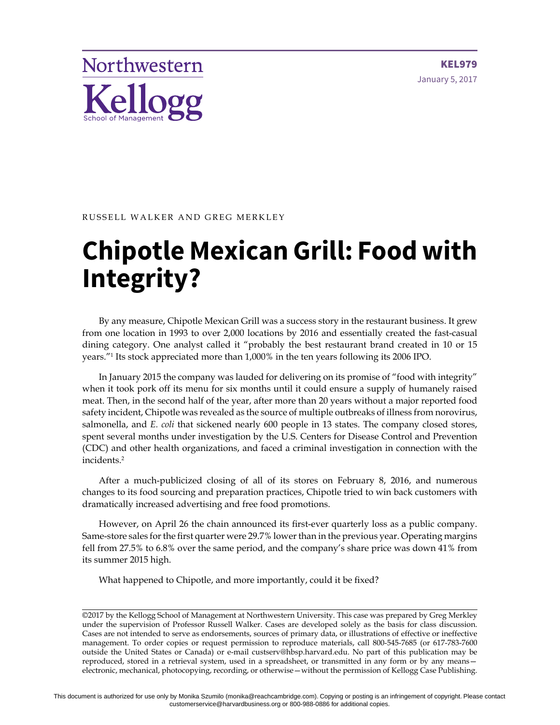

KEL979 January 5, 2017

#### RUSSELL WALKER AND GREG MERKLEY

# **Chipotle Mexican Grill: Food with Integrity?**

By any measure, Chipotle Mexican Grill was a success story in the restaurant business. It grew from one location in 1993 to over 2,000 locations by 2016 and essentially created the fast-casual dining category. One analyst called it "probably the best restaurant brand created in 10 or 15 years."1 Its stock appreciated more than 1,000% in the ten years following its 2006 IPO.

In January 2015 the company was lauded for delivering on its promise of "food with integrity" when it took pork off its menu for six months until it could ensure a supply of humanely raised meat. Then, in the second half of the year, after more than 20 years without a major reported food safety incident, Chipotle was revealed as the source of multiple outbreaks of illness from norovirus, salmonella, and *E. coli* that sickened nearly 600 people in 13 states. The company closed stores, spent several months under investigation by the U.S. Centers for Disease Control and Prevention (CDC) and other health organizations, and faced a criminal investigation in connection with the incidents.2

After a much-publicized closing of all of its stores on February 8, 2016, and numerous changes to its food sourcing and preparation practices, Chipotle tried to win back customers with dramatically increased advertising and free food promotions.

However, on April 26 the chain announced its first-ever quarterly loss as a public company. Same-store sales for the first quarter were 29.7% lower than in the previous year. Operating margins fell from 27.5% to 6.8% over the same period, and the company's share price was down 41% from its summer 2015 high.

What happened to Chipotle, and more importantly, could it be fixed?

©2017 by the Kellogg School of Management at Northwestern University. This case was prepared by Greg Merkley under the supervision of Professor Russell Walker. Cases are developed solely as the basis for class discussion. Cases are not intended to serve as endorsements, sources of primary data, or illustrations of effective or ineffective management. To order copies or request permission to reproduce materials, call 800-545-7685 (or 617-783-7600 outside the United States or Canada) or e-mail custserv@hbsp.harvard.edu. No part of this publication may be reproduced, stored in a retrieval system, used in a spreadsheet, or transmitted in any form or by any means electronic, mechanical, photocopying, recording, or otherwise—without the permission of Kellogg Case Publishing.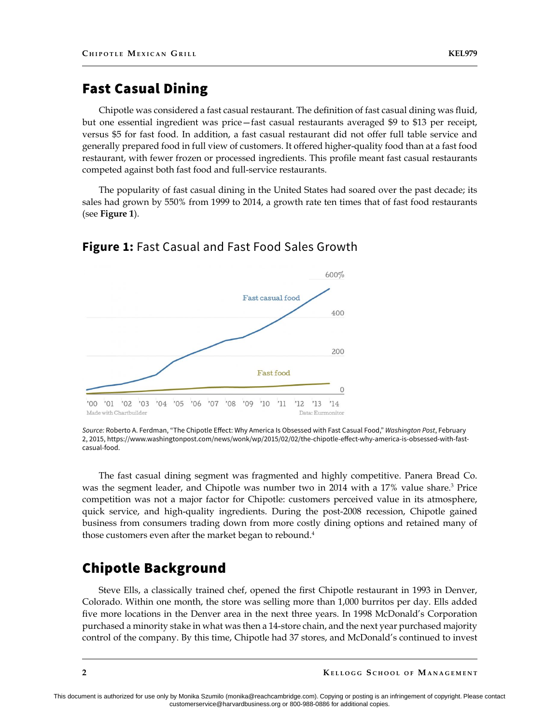## Fast Casual Dining

Chipotle was considered a fast casual restaurant. The definition of fast casual dining was fluid, but one essential ingredient was price—fast casual restaurants averaged \$9 to \$13 per receipt, versus \$5 for fast food. In addition, a fast casual restaurant did not offer full table service and generally prepared food in full view of customers. It offered higher-quality food than at a fast food restaurant, with fewer frozen or processed ingredients. This profile meant fast casual restaurants competed against both fast food and full-service restaurants.

The popularity of fast casual dining in the United States had soared over the past decade; its sales had grown by 550% from 1999 to 2014, a growth rate ten times that of fast food restaurants (see **Figure 1**).



#### **Figure 1:** Fast Casual and Fast Food Sales Growth

The fast casual dining segment was fragmented and highly competitive. Panera Bread Co. was the segment leader, and Chipotle was number two in 2014 with a 17% value share.<sup>3</sup> Price competition was not a major factor for Chipotle: customers perceived value in its atmosphere, quick service, and high-quality ingredients. During the post-2008 recession, Chipotle gained business from consumers trading down from more costly dining options and retained many of those customers even after the market began to rebound.<sup>4</sup>

## Chipotle Background

Steve Ells, a classically trained chef, opened the first Chipotle restaurant in 1993 in Denver, Colorado. Within one month, the store was selling more than 1,000 burritos per day. Ells added five more locations in the Denver area in the next three years. In 1998 McDonald's Corporation purchased a minority stake in what was then a 14-store chain, and the next year purchased majority control of the company. By this time, Chipotle had 37 stores, and McDonald's continued to invest

*Source:* Roberto A. Ferdman, "The Chipotle Effect: Why America Is Obsessed with Fast Casual Food," *Washington Post*, February 2, 2015, https://www.washingtonpost.com/news/wonk/wp/2015/02/02/the-chipotle-effect-why-america-is-obsessed-with-fastcasual-food.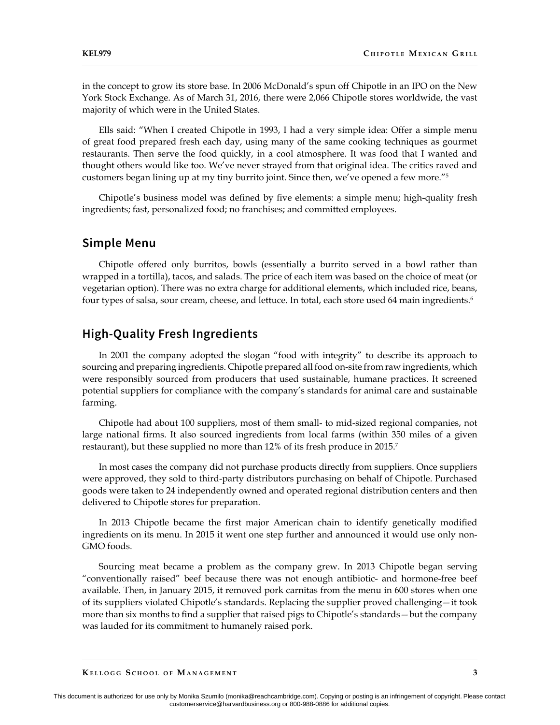in the concept to grow its store base. In 2006 McDonald's spun off Chipotle in an IPO on the New York Stock Exchange. As of March 31, 2016, there were 2,066 Chipotle stores worldwide, the vast majority of which were in the United States.

Ells said: "When I created Chipotle in 1993, I had a very simple idea: Offer a simple menu of great food prepared fresh each day, using many of the same cooking techniques as gourmet restaurants. Then serve the food quickly, in a cool atmosphere. It was food that I wanted and thought others would like too. We've never strayed from that original idea. The critics raved and customers began lining up at my tiny burrito joint. Since then, we've opened a few more."5

Chipotle's business model was defined by five elements: a simple menu; high-quality fresh ingredients; fast, personalized food; no franchises; and committed employees.

#### **Simple Menu**

Chipotle offered only burritos, bowls (essentially a burrito served in a bowl rather than wrapped in a tortilla), tacos, and salads. The price of each item was based on the choice of meat (or vegetarian option). There was no extra charge for additional elements, which included rice, beans, four types of salsa, sour cream, cheese, and lettuce. In total, each store used 64 main ingredients.<sup>6</sup>

### **High-Quality Fresh Ingredients**

In 2001 the company adopted the slogan "food with integrity" to describe its approach to sourcing and preparing ingredients. Chipotle prepared all food on-site from raw ingredients, which were responsibly sourced from producers that used sustainable, humane practices. It screened potential suppliers for compliance with the company's standards for animal care and sustainable farming.

Chipotle had about 100 suppliers, most of them small- to mid-sized regional companies, not large national firms. It also sourced ingredients from local farms (within 350 miles of a given restaurant), but these supplied no more than 12% of its fresh produce in 2015.<sup>7</sup>

In most cases the company did not purchase products directly from suppliers. Once suppliers were approved, they sold to third-party distributors purchasing on behalf of Chipotle. Purchased goods were taken to 24 independently owned and operated regional distribution centers and then delivered to Chipotle stores for preparation.

In 2013 Chipotle became the first major American chain to identify genetically modified ingredients on its menu. In 2015 it went one step further and announced it would use only non-GMO foods.

Sourcing meat became a problem as the company grew. In 2013 Chipotle began serving "conventionally raised" beef because there was not enough antibiotic- and hormone-free beef available. Then, in January 2015, it removed pork carnitas from the menu in 600 stores when one of its suppliers violated Chipotle's standards. Replacing the supplier proved challenging—it took more than six months to find a supplier that raised pigs to Chipotle's standards—but the company was lauded for its commitment to humanely raised pork.

**Ke l l o gg S <sup>c</sup> h o o l o f Ma n a <sup>g</sup> <sup>e</sup> <sup>m</sup> e n t**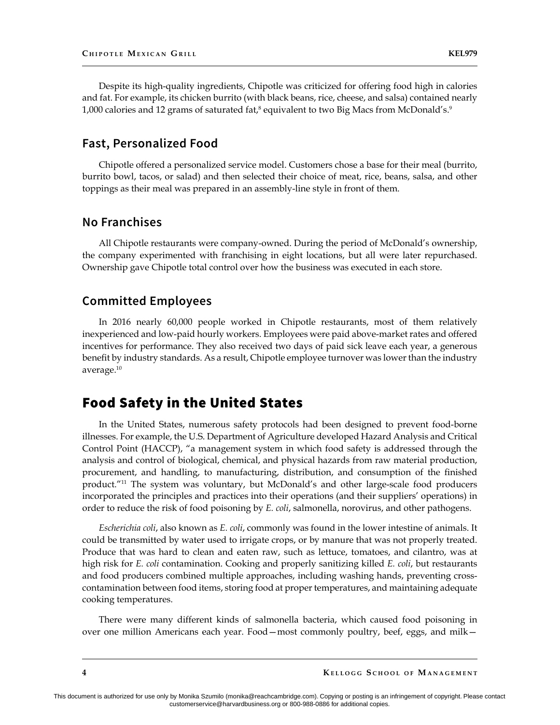Despite its high-quality ingredients, Chipotle was criticized for offering food high in calories and fat. For example, its chicken burrito (with black beans, rice, cheese, and salsa) contained nearly 1,000 calories and 12 grams of saturated fat,<sup>8</sup> equivalent to two Big Macs from McDonald's.<sup>9</sup>

#### **Fast, Personalized Food**

Chipotle offered a personalized service model. Customers chose a base for their meal (burrito, burrito bowl, tacos, or salad) and then selected their choice of meat, rice, beans, salsa, and other toppings as their meal was prepared in an assembly-line style in front of them.

#### **No Franchises**

All Chipotle restaurants were company-owned. During the period of McDonald's ownership, the company experimented with franchising in eight locations, but all were later repurchased. Ownership gave Chipotle total control over how the business was executed in each store.

#### **Committed Employees**

In 2016 nearly 60,000 people worked in Chipotle restaurants, most of them relatively inexperienced and low-paid hourly workers. Employees were paid above-market rates and offered incentives for performance. They also received two days of paid sick leave each year, a generous benefit by industry standards. As a result, Chipotle employee turnover was lower than the industry average.10

## Food Safety in the United States

In the United States, numerous safety protocols had been designed to prevent food-borne illnesses. For example, the U.S. Department of Agriculture developed Hazard Analysis and Critical Control Point (HACCP), "a management system in which food safety is addressed through the analysis and control of biological, chemical, and physical hazards from raw material production, procurement, and handling, to manufacturing, distribution, and consumption of the finished product."11 The system was voluntary, but McDonald's and other large-scale food producers incorporated the principles and practices into their operations (and their suppliers' operations) in order to reduce the risk of food poisoning by *E. coli*, salmonella, norovirus, and other pathogens.

*Escherichia coli*, also known as *E. coli*, commonly was found in the lower intestine of animals. It could be transmitted by water used to irrigate crops, or by manure that was not properly treated. Produce that was hard to clean and eaten raw, such as lettuce, tomatoes, and cilantro, was at high risk for *E. coli* contamination. Cooking and properly sanitizing killed *E. coli*, but restaurants and food producers combined multiple approaches, including washing hands, preventing crosscontamination between food items, storing food at proper temperatures, and maintaining adequate cooking temperatures.

There were many different kinds of salmonella bacteria, which caused food poisoning in over one million Americans each year. Food—most commonly poultry, beef, eggs, and milk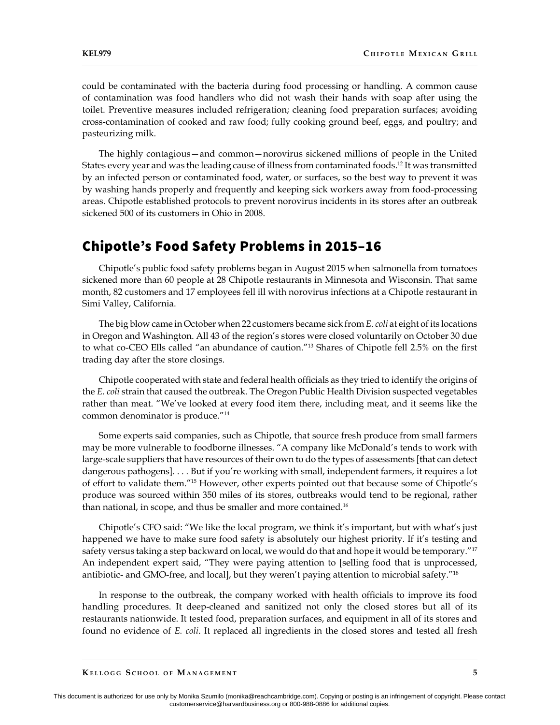could be contaminated with the bacteria during food processing or handling. A common cause of contamination was food handlers who did not wash their hands with soap after using the toilet. Preventive measures included refrigeration; cleaning food preparation surfaces; avoiding cross-contamination of cooked and raw food; fully cooking ground beef, eggs, and poultry; and pasteurizing milk.

The highly contagious—and common—norovirus sickened millions of people in the United States every year and was the leading cause of illness from contaminated foods.<sup>12</sup> It was transmitted by an infected person or contaminated food, water, or surfaces, so the best way to prevent it was by washing hands properly and frequently and keeping sick workers away from food-processing areas. Chipotle established protocols to prevent norovirus incidents in its stores after an outbreak sickened 500 of its customers in Ohio in 2008.

## Chipotle's Food Safety Problems in 2015–16

Chipotle's public food safety problems began in August 2015 when salmonella from tomatoes sickened more than 60 people at 28 Chipotle restaurants in Minnesota and Wisconsin. That same month, 82 customers and 17 employees fell ill with norovirus infections at a Chipotle restaurant in Simi Valley, California.

The big blow came in October when 22 customers became sick from *E. coli* at eight of its locations in Oregon and Washington. All 43 of the region's stores were closed voluntarily on October 30 due to what co-CEO Ells called "an abundance of caution."13 Shares of Chipotle fell 2.5% on the first trading day after the store closings.

Chipotle cooperated with state and federal health officials as they tried to identify the origins of the *E. coli* strain that caused the outbreak. The Oregon Public Health Division suspected vegetables rather than meat. "We've looked at every food item there, including meat, and it seems like the common denominator is produce."14

Some experts said companies, such as Chipotle, that source fresh produce from small farmers may be more vulnerable to foodborne illnesses. "A company like McDonald's tends to work with large-scale suppliers that have resources of their own to do the types of assessments [that can detect dangerous pathogens]. . . . But if you're working with small, independent farmers, it requires a lot of effort to validate them."15 However, other experts pointed out that because some of Chipotle's produce was sourced within 350 miles of its stores, outbreaks would tend to be regional, rather than national, in scope, and thus be smaller and more contained.<sup>16</sup>

Chipotle's CFO said: "We like the local program, we think it's important, but with what's just happened we have to make sure food safety is absolutely our highest priority. If it's testing and safety versus taking a step backward on local, we would do that and hope it would be temporary."<sup>17</sup> An independent expert said, "They were paying attention to [selling food that is unprocessed, antibiotic- and GMO-free, and local], but they weren't paying attention to microbial safety."<sup>18</sup>

In response to the outbreak, the company worked with health officials to improve its food handling procedures. It deep-cleaned and sanitized not only the closed stores but all of its restaurants nationwide. It tested food, preparation surfaces, and equipment in all of its stores and found no evidence of *E. coli*. It replaced all ingredients in the closed stores and tested all fresh

**Ke l l o gg S <sup>c</sup> h o o l o f Ma n a <sup>g</sup> <sup>e</sup> <sup>m</sup> e n t**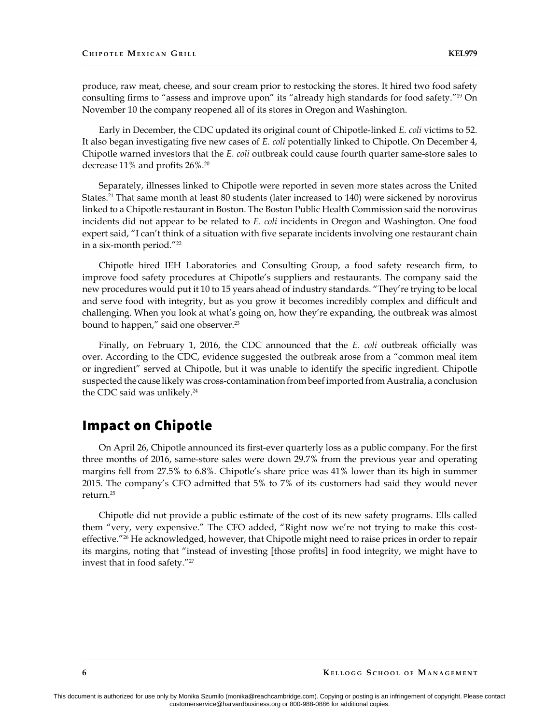produce, raw meat, cheese, and sour cream prior to restocking the stores. It hired two food safety consulting firms to "assess and improve upon" its "already high standards for food safety."19 On November 10 the company reopened all of its stores in Oregon and Washington.

Early in December, the CDC updated its original count of Chipotle-linked *E. coli* victims to 52. It also began investigating five new cases of *E. coli* potentially linked to Chipotle. On December 4, Chipotle warned investors that the *E. coli* outbreak could cause fourth quarter same-store sales to decrease 11% and profits 26%.<sup>20</sup>

Separately, illnesses linked to Chipotle were reported in seven more states across the United States.<sup>21</sup> That same month at least 80 students (later increased to 140) were sickened by norovirus linked to a Chipotle restaurant in Boston. The Boston Public Health Commission said the norovirus incidents did not appear to be related to *E. coli* incidents in Oregon and Washington. One food expert said, "I can't think of a situation with five separate incidents involving one restaurant chain in a six-month period."22

Chipotle hired IEH Laboratories and Consulting Group, a food safety research firm, to improve food safety procedures at Chipotle's suppliers and restaurants. The company said the new procedures would put it 10 to 15 years ahead of industry standards. "They're trying to be local and serve food with integrity, but as you grow it becomes incredibly complex and difficult and challenging. When you look at what's going on, how they're expanding, the outbreak was almost bound to happen," said one observer.<sup>23</sup>

Finally, on February 1, 2016, the CDC announced that the *E. coli* outbreak officially was over. According to the CDC, evidence suggested the outbreak arose from a "common meal item or ingredient" served at Chipotle, but it was unable to identify the specific ingredient. Chipotle suspected the cause likely was cross-contamination from beef imported from Australia, a conclusion the CDC said was unlikely. $24$ 

## Impact on Chipotle

On April 26, Chipotle announced its first-ever quarterly loss as a public company. For the first three months of 2016, same-store sales were down 29.7% from the previous year and operating margins fell from 27.5% to 6.8%. Chipotle's share price was 41% lower than its high in summer 2015. The company's CFO admitted that 5% to 7% of its customers had said they would never return.25

Chipotle did not provide a public estimate of the cost of its new safety programs. Ells called them "very, very expensive." The CFO added, "Right now we're not trying to make this costeffective."<sup>26</sup> He acknowledged, however, that Chipotle might need to raise prices in order to repair its margins, noting that "instead of investing [those profits] in food integrity, we might have to invest that in food safety."27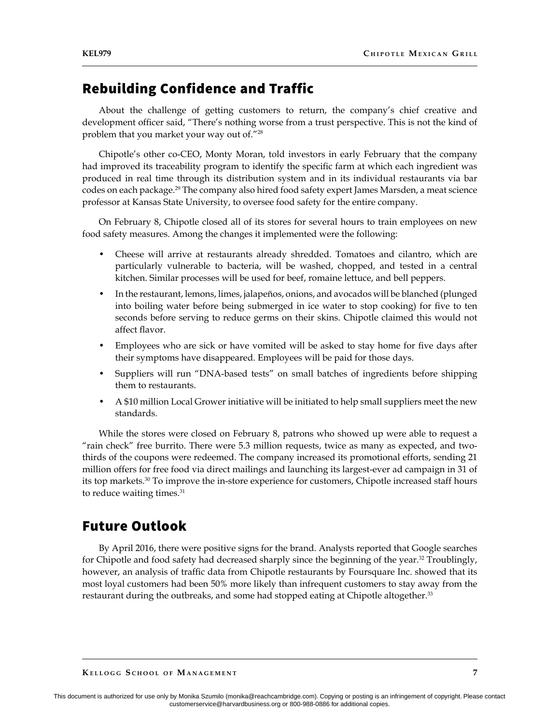## Rebuilding Confidence and Traffic

About the challenge of getting customers to return, the company's chief creative and development officer said, "There's nothing worse from a trust perspective. This is not the kind of problem that you market your way out of."28

Chipotle's other co-CEO, Monty Moran, told investors in early February that the company had improved its traceability program to identify the specific farm at which each ingredient was produced in real time through its distribution system and in its individual restaurants via bar codes on each package.29 The company also hired food safety expert James Marsden, a meat science professor at Kansas State University, to oversee food safety for the entire company.

On February 8, Chipotle closed all of its stores for several hours to train employees on new food safety measures. Among the changes it implemented were the following:

- Cheese will arrive at restaurants already shredded. Tomatoes and cilantro, which are particularly vulnerable to bacteria, will be washed, chopped, and tested in a central kitchen. Similar processes will be used for beef, romaine lettuce, and bell peppers.
- In the restaurant, lemons, limes, jalapeños, onions, and avocados will be blanched (plunged into boiling water before being submerged in ice water to stop cooking) for five to ten seconds before serving to reduce germs on their skins. Chipotle claimed this would not affect flavor.
- Employees who are sick or have vomited will be asked to stay home for five days after their symptoms have disappeared. Employees will be paid for those days.
- Suppliers will run "DNA-based tests" on small batches of ingredients before shipping them to restaurants.
- A \$10 million Local Grower initiative will be initiated to help small suppliers meet the new standards.

While the stores were closed on February 8, patrons who showed up were able to request a "rain check" free burrito. There were 5.3 million requests, twice as many as expected, and twothirds of the coupons were redeemed. The company increased its promotional efforts, sending 21 million offers for free food via direct mailings and launching its largest-ever ad campaign in 31 of its top markets.<sup>30</sup> To improve the in-store experience for customers, Chipotle increased staff hours to reduce waiting times.<sup>31</sup>

## Future Outlook

By April 2016, there were positive signs for the brand. Analysts reported that Google searches for Chipotle and food safety had decreased sharply since the beginning of the year.<sup>32</sup> Troublingly, however, an analysis of traffic data from Chipotle restaurants by Foursquare Inc. showed that its most loyal customers had been 50% more likely than infrequent customers to stay away from the restaurant during the outbreaks, and some had stopped eating at Chipotle altogether.<sup>33</sup>